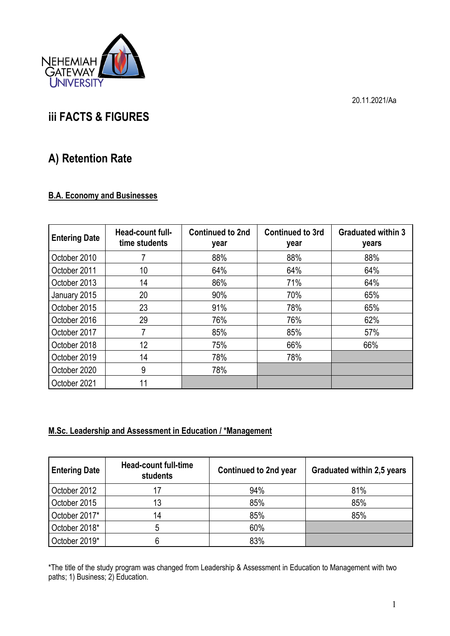

20.11.2021/Aa

# **iii FACTS & FIGURES**

# **A) Retention Rate**

### **B.A. Economy and Businesses**

| <b>Entering Date</b> | Head-count full-<br>time students | <b>Continued to 2nd</b><br>year | <b>Continued to 3rd</b><br>year | <b>Graduated within 3</b><br>years |
|----------------------|-----------------------------------|---------------------------------|---------------------------------|------------------------------------|
| October 2010         |                                   | 88%                             | 88%                             | 88%                                |
| October 2011         | 10                                | 64%                             | 64%                             | 64%                                |
| October 2013         | 14                                | 86%                             | 71%                             | 64%                                |
| January 2015         | 20                                | 90%                             | 70%                             | 65%                                |
| October 2015         | 23                                | 91%                             | 78%                             | 65%                                |
| October 2016         | 29                                | 76%                             | 76%                             | 62%                                |
| October 2017         |                                   | 85%                             | 85%                             | 57%                                |
| October 2018         | 12                                | 75%                             | 66%                             | 66%                                |
| October 2019         | 14                                | 78%                             | 78%                             |                                    |
| October 2020         | 9                                 | 78%                             |                                 |                                    |
| October 2021         | 11                                |                                 |                                 |                                    |

#### **M.Sc. Leadership and Assessment in Education / \*Management**

| <b>Entering Date</b> | <b>Head-count full-time</b><br>students | <b>Continued to 2nd year</b> | Graduated within 2,5 years |
|----------------------|-----------------------------------------|------------------------------|----------------------------|
| October 2012         | 17                                      | 94%                          | 81%                        |
| October 2015         | 13                                      | 85%                          | 85%                        |
| October 2017*        | 14                                      | 85%                          | 85%                        |
| October 2018*        | 5                                       | 60%                          |                            |
| October 2019*        | 6                                       | 83%                          |                            |

\*The title of the study program was changed from Leadership & Assessment in Education to Management with two paths; 1) Business; 2) Education.